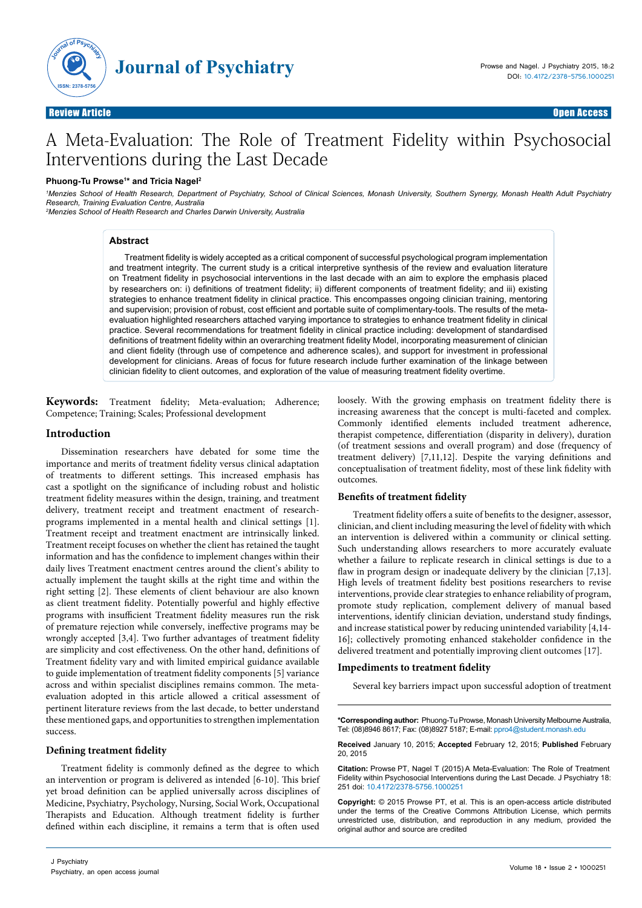

# A Meta-Evaluation: The Role of Treatment Fidelity within Psychosocial Interventions during the Last Decade

# **Phuong-Tu Prowse1 \* and Tricia Nagel2**

*1 Menzies School of Health Research, Department of Psychiatry, School of Clinical Sciences, Monash University, Southern Synergy, Monash Health Adult Psychiatry Research, Training Evaluation Centre, Australia*

*2 Menzies School of Health Research and Charles Darwin University, Australia*

### **Abstract**

Treatment fidelity is widely accepted as a critical component of successful psychological program implementation and treatment integrity. The current study is a critical interpretive synthesis of the review and evaluation literature on Treatment fidelity in psychosocial interventions in the last decade with an aim to explore the emphasis placed by researchers on: i) definitions of treatment fidelity; ii) different components of treatment fidelity; and iii) existing strategies to enhance treatment fidelity in clinical practice. This encompasses ongoing clinician training, mentoring and supervision; provision of robust, cost efficient and portable suite of complimentary-tools. The results of the metaevaluation highlighted researchers attached varying importance to strategies to enhance treatment fidelity in clinical practice. Several recommendations for treatment fidelity in clinical practice including: development of standardised definitions of treatment fidelity within an overarching treatment fidelity Model, incorporating measurement of clinician and client fidelity (through use of competence and adherence scales), and support for investment in professional development for clinicians. Areas of focus for future research include further examination of the linkage between clinician fidelity to client outcomes, and exploration of the value of measuring treatment fidelity overtime.

**Keywords:** Treatment fidelity; Meta-evaluation; Adherence; Competence; Training; Scales; Professional development

# **Introduction**

Dissemination researchers have debated for some time the importance and merits of treatment fidelity versus clinical adaptation of treatments to different settings. This increased emphasis has cast a spotlight on the significance of including robust and holistic treatment fidelity measures within the design, training, and treatment delivery, treatment receipt and treatment enactment of researchprograms implemented in a mental health and clinical settings [1]. Treatment receipt and treatment enactment are intrinsically linked. Treatment receipt focuses on whether the client has retained the taught information and has the confidence to implement changes within their daily lives Treatment enactment centres around the client's ability to actually implement the taught skills at the right time and within the right setting [2]. These elements of client behaviour are also known as client treatment fidelity. Potentially powerful and highly effective programs with insufficient Treatment fidelity measures run the risk of premature rejection while conversely, ineffective programs may be wrongly accepted [3,4]. Two further advantages of treatment fidelity are simplicity and cost effectiveness. On the other hand, definitions of Treatment fidelity vary and with limited empirical guidance available to guide implementation of treatment fidelity components [5] variance across and within specialist disciplines remains common. The metaevaluation adopted in this article allowed a critical assessment of pertinent literature reviews from the last decade, to better understand these mentioned gaps, and opportunities to strengthen implementation success.

# **Defining treatment fidelity**

Treatment fidelity is commonly defined as the degree to which an intervention or program is delivered as intended [6-10]. This brief yet broad definition can be applied universally across disciplines of Medicine, Psychiatry, Psychology, Nursing, Social Work, Occupational Therapists and Education. Although treatment fidelity is further defined within each discipline, it remains a term that is often used loosely. With the growing emphasis on treatment fidelity there is increasing awareness that the concept is multi-faceted and complex. Commonly identified elements included treatment adherence, therapist competence, differentiation (disparity in delivery), duration (of treatment sessions and overall program) and dose (frequency of treatment delivery) [7,11,12]. Despite the varying definitions and conceptualisation of treatment fidelity, most of these link fidelity with outcomes.

# **Benefits of treatment fidelity**

Treatment fidelity offers a suite of benefits to the designer, assessor, clinician, and client including measuring the level of fidelity with which an intervention is delivered within a community or clinical setting. Such understanding allows researchers to more accurately evaluate whether a failure to replicate research in clinical settings is due to a flaw in program design or inadequate delivery by the clinician [7,13]. High levels of treatment fidelity best positions researchers to revise interventions, provide clear strategies to enhance reliability of program, promote study replication, complement delivery of manual based interventions, identify clinician deviation, understand study findings, and increase statistical power by reducing unintended variability [4,14- 16]; collectively promoting enhanced stakeholder confidence in the delivered treatment and potentially improving client outcomes [17].

# **Impediments to treatment fidelity**

Several key barriers impact upon successful adoption of treatment

**\*Corresponding author:** Phuong-Tu Prowse, Monash University Melbourne Australia, Tel: (08)8946 8617; Fax: (08)8927 5187; E-mail: [ppro4@student.monash.edu](mailto:ppro4@student.monash.edu)

**Received** January 10, 2015; **Accepted** February 12, 2015; **Published** February 20, 2015

**Citation:** Prowse PT, Nagel T (2015) A Meta-Evaluation: The Role of Treatment Fidelity within Psychosocial Interventions during the Last Decade. J Psychiatry 18: 251 doi: 10.4172/2378-5756.1000251

**Copyright:** © 2015 Prowse PT, et al. This is an open-access article distributed under the terms of the Creative Commons Attribution License, which permits unrestricted use, distribution, and reproduction in any medium, provided the original author and source are credited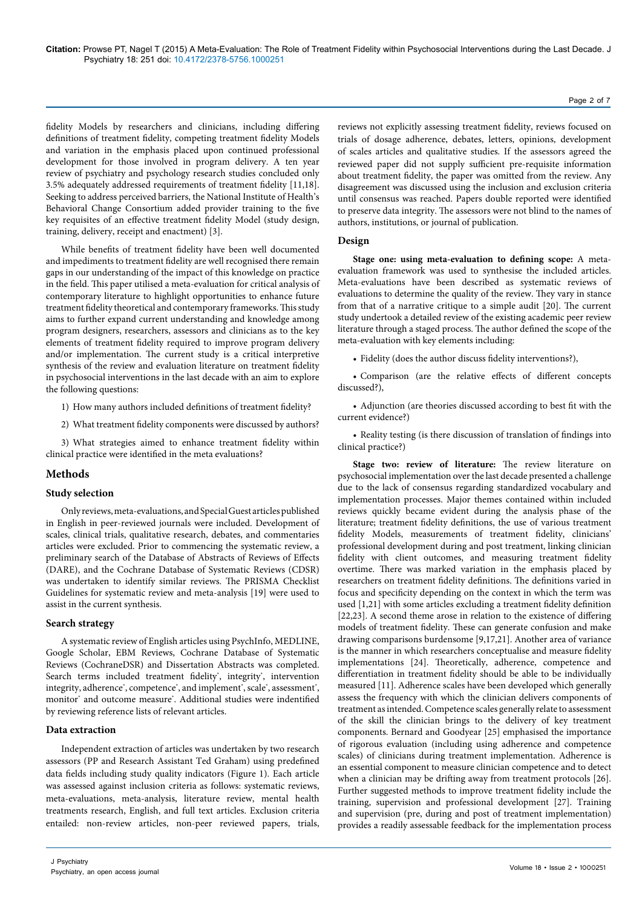fidelity Models by researchers and clinicians, including differing definitions of treatment fidelity, competing treatment fidelity Models and variation in the emphasis placed upon continued professional development for those involved in program delivery. A ten year review of psychiatry and psychology research studies concluded only 3.5% adequately addressed requirements of treatment fidelity [11,18]. Seeking to address perceived barriers, the National Institute of Health's Behavioral Change Consortium added provider training to the five key requisites of an effective treatment fidelity Model (study design, training, delivery, receipt and enactment) [3].

While benefits of treatment fidelity have been well documented and impediments to treatment fidelity are well recognised there remain gaps in our understanding of the impact of this knowledge on practice in the field. This paper utilised a meta-evaluation for critical analysis of contemporary literature to highlight opportunities to enhance future treatment fidelity theoretical and contemporary frameworks. This study aims to further expand current understanding and knowledge among program designers, researchers, assessors and clinicians as to the key elements of treatment fidelity required to improve program delivery and/or implementation. The current study is a critical interpretive synthesis of the review and evaluation literature on treatment fidelity in psychosocial interventions in the last decade with an aim to explore the following questions:

- 1) How many authors included definitions of treatment fidelity?
- 2) What treatment fidelity components were discussed by authors?

3) What strategies aimed to enhance treatment fidelity within clinical practice were identified in the meta evaluations?

# **Methods**

### **Study selection**

Only reviews, meta-evaluations, and Special Guest articles published in English in peer-reviewed journals were included. Development of scales, clinical trials, qualitative research, debates, and commentaries articles were excluded. Prior to commencing the systematic review, a preliminary search of the Database of Abstracts of Reviews of Effects (DARE), and the Cochrane Database of Systematic Reviews (CDSR) was undertaken to identify similar reviews. The PRISMA Checklist Guidelines for systematic review and meta-analysis [19] were used to assist in the current synthesis.

# **Search strategy**

A systematic review of English articles using PsychInfo, MEDLINE, Google Scholar, EBM Reviews, Cochrane Database of Systematic Reviews (CochraneDSR) and Dissertation Abstracts was completed. Search terms included treatment fidelity', integrity', intervention integrity, adherence\*, competence\*, and implement\*, scale\*, assessment\*, monitor\* and outcome measure\* . Additional studies were indentified by reviewing reference lists of relevant articles.

# **Data extraction**

Independent extraction of articles was undertaken by two research assessors (PP and Research Assistant Ted Graham) using predefined data fields including study quality indicators (Figure 1). Each article was assessed against inclusion criteria as follows: systematic reviews, meta-evaluations, meta-analysis, literature review, mental health treatments research, English, and full text articles. Exclusion criteria entailed: non-review articles, non-peer reviewed papers, trials,

reviews not explicitly assessing treatment fidelity, reviews focused on trials of dosage adherence, debates, letters, opinions, development of scales articles and qualitative studies. If the assessors agreed the reviewed paper did not supply sufficient pre-requisite information about treatment fidelity, the paper was omitted from the review. Any disagreement was discussed using the inclusion and exclusion criteria until consensus was reached. Papers double reported were identified to preserve data integrity. The assessors were not blind to the names of authors, institutions, or journal of publication.

# **Design**

**Stage one: using meta-evaluation to defining scope:** A metaevaluation framework was used to synthesise the included articles. Meta-evaluations have been described as systematic reviews of evaluations to determine the quality of the review. They vary in stance from that of a narrative critique to a simple audit [20]. The current study undertook a detailed review of the existing academic peer review literature through a staged process. The author defined the scope of the meta-evaluation with key elements including:

• Fidelity (does the author discuss fidelity interventions?),

• Comparison (are the relative effects of different concepts discussed?),

• Adjunction (are theories discussed according to best fit with the current evidence?)

• Reality testing (is there discussion of translation of findings into clinical practice?)

**Stage two: review of literature:** The review literature on psychosocial implementation over the last decade presented a challenge due to the lack of consensus regarding standardized vocabulary and implementation processes. Major themes contained within included reviews quickly became evident during the analysis phase of the literature; treatment fidelity definitions, the use of various treatment fidelity Models, measurements of treatment fidelity, clinicians' professional development during and post treatment, linking clinician fidelity with client outcomes, and measuring treatment fidelity overtime. There was marked variation in the emphasis placed by researchers on treatment fidelity definitions. The definitions varied in focus and specificity depending on the context in which the term was used [1,21] with some articles excluding a treatment fidelity definition [22,23]. A second theme arose in relation to the existence of differing models of treatment fidelity. These can generate confusion and make drawing comparisons burdensome [9,17,21]. Another area of variance is the manner in which researchers conceptualise and measure fidelity implementations [24]. Theoretically, adherence, competence and differentiation in treatment fidelity should be able to be individually measured [11]. Adherence scales have been developed which generally assess the frequency with which the clinician delivers components of treatment as intended. Competence scales generally relate to assessment of the skill the clinician brings to the delivery of key treatment components. Bernard and Goodyear [25] emphasised the importance of rigorous evaluation (including using adherence and competence scales) of clinicians during treatment implementation. Adherence is an essential component to measure clinician competence and to detect when a clinician may be drifting away from treatment protocols [26]. Further suggested methods to improve treatment fidelity include the training, supervision and professional development [27]. Training and supervision (pre, during and post of treatment implementation) provides a readily assessable feedback for the implementation process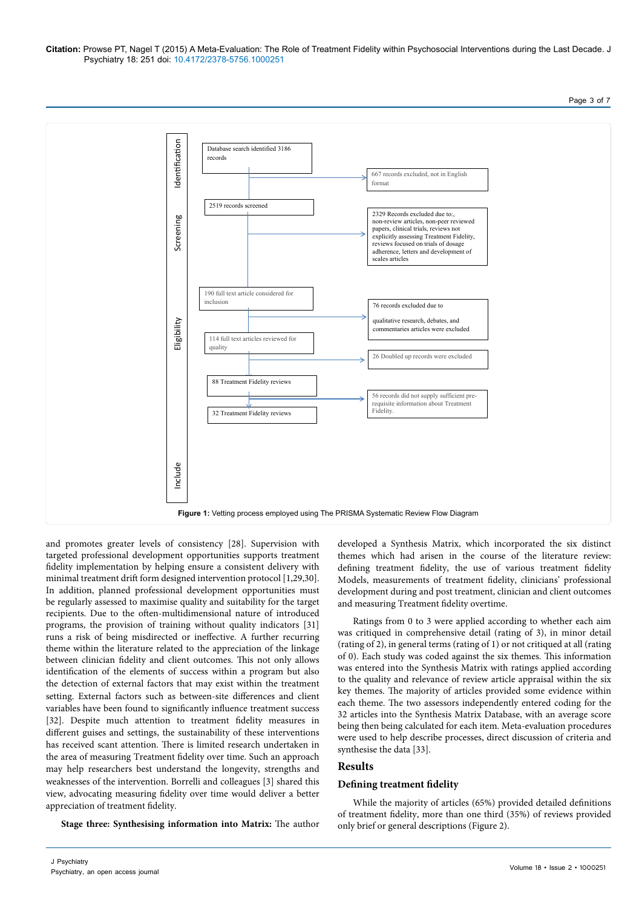#### **Citation:** Prowse PT, Nagel T (2015) A Meta-Evaluation: The Role of Treatment Fidelity within Psychosocial Interventions during the Last Decade. J Psychiatry 18: 251 doi: 10.4172/2378-5756.1000251

Page 3 of 7



and promotes greater levels of consistency [28]. Supervision with targeted professional development opportunities supports treatment fidelity implementation by helping ensure a consistent delivery with minimal treatment drift form designed intervention protocol [1,29,30]. In addition, planned professional development opportunities must be regularly assessed to maximise quality and suitability for the target recipients. Due to the often-multidimensional nature of introduced programs, the provision of training without quality indicators [31] runs a risk of being misdirected or ineffective. A further recurring theme within the literature related to the appreciation of the linkage between clinician fidelity and client outcomes. This not only allows identification of the elements of success within a program but also the detection of external factors that may exist within the treatment setting. External factors such as between-site differences and client variables have been found to significantly influence treatment success [32]. Despite much attention to treatment fidelity measures in different guises and settings, the sustainability of these interventions has received scant attention. There is limited research undertaken in the area of measuring Treatment fidelity over time. Such an approach may help researchers best understand the longevity, strengths and weaknesses of the intervention. Borrelli and colleagues [3] shared this view, advocating measuring fidelity over time would deliver a better appreciation of treatment fidelity.

developed a Synthesis Matrix, which incorporated the six distinct themes which had arisen in the course of the literature review: defining treatment fidelity, the use of various treatment fidelity Models, measurements of treatment fidelity, clinicians' professional development during and post treatment, clinician and client outcomes and measuring Treatment fidelity overtime.

Ratings from 0 to 3 were applied according to whether each aim was critiqued in comprehensive detail (rating of 3), in minor detail (rating of 2), in general terms (rating of 1) or not critiqued at all (rating of 0). Each study was coded against the six themes. This information was entered into the Synthesis Matrix with ratings applied according to the quality and relevance of review article appraisal within the six key themes. The majority of articles provided some evidence within each theme. The two assessors independently entered coding for the 32 articles into the Synthesis Matrix Database, with an average score being then being calculated for each item. Meta-evaluation procedures were used to help describe processes, direct discussion of criteria and synthesise the data [33].

# **Results**

# **Defining treatment fidelity**

While the majority of articles (65%) provided detailed definitions of treatment fidelity, more than one third (35%) of reviews provided only brief or general descriptions (Figure 2).

**Stage three: Synthesising information into Matrix:** The author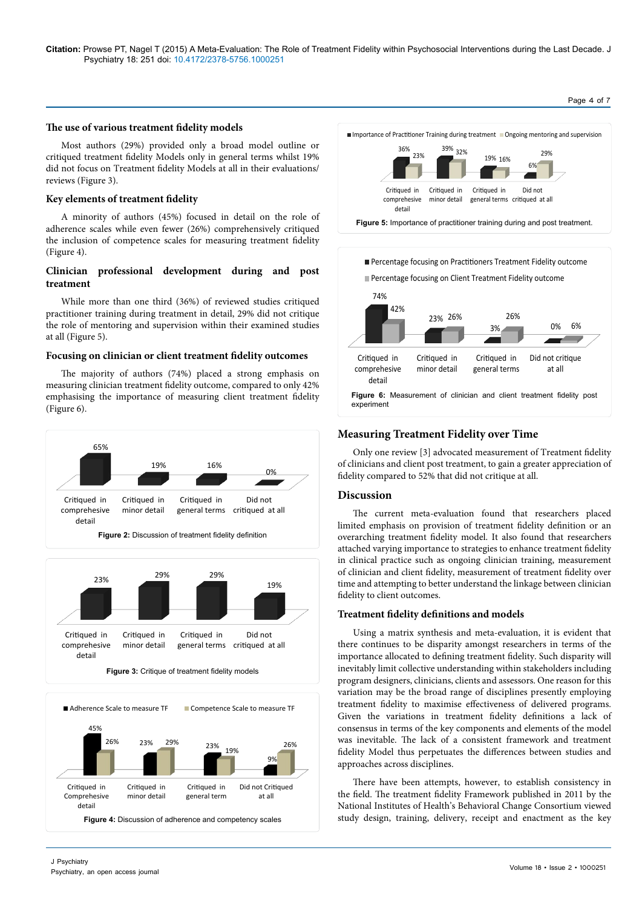# **The use of various treatment fidelity models**

Most authors (29%) provided only a broad model outline or critiqued treatment fidelity Models only in general terms whilst 19% did not focus on Treatment fidelity Models at all in their evaluations/ reviews (Figure 3).

# **Key elements of treatment fidelity**

A minority of authors (45%) focused in detail on the role of adherence scales while even fewer (26%) comprehensively critiqued the inclusion of competence scales for measuring treatment fidelity (Figure 4).

# **Clinician professional development during and post treatment**

While more than one third (36%) of reviewed studies critiqued practitioner training during treatment in detail, 29% did not critique the role of mentoring and supervision within their examined studies at all (Figure 5).

# **Focusing on clinician or client treatment fidelity outcomes**

The majority of authors (74%) placed a strong emphasis on measuring clinician treatment fidelity outcome, compared to only 42% emphasising the importance of measuring client treatment fidelity (Figure 6).









Page 4 of 7



# **Measuring Treatment Fidelity over Time**

Only one review [3] advocated measurement of Treatment fidelity of clinicians and client post treatment, to gain a greater appreciation of fidelity compared to 52% that did not critique at all.

# **Discussion**

The current meta-evaluation found that researchers placed limited emphasis on provision of treatment fidelity definition or an overarching treatment fidelity model. It also found that researchers attached varying importance to strategies to enhance treatment fidelity in clinical practice such as ongoing clinician training, measurement of clinician and client fidelity, measurement of treatment fidelity over time and attempting to better understand the linkage between clinician fidelity to client outcomes.

# **Treatment fidelity definitions and models**

Using a matrix synthesis and meta-evaluation, it is evident that there continues to be disparity amongst researchers in terms of the importance allocated to defining treatment fidelity. Such disparity will inevitably limit collective understanding within stakeholders including program designers, clinicians, clients and assessors. One reason for this variation may be the broad range of disciplines presently employing treatment fidelity to maximise effectiveness of delivered programs. Given the variations in treatment fidelity definitions a lack of consensus in terms of the key components and elements of the model was inevitable. The lack of a consistent framework and treatment fidelity Model thus perpetuates the differences between studies and approaches across disciplines.

There have been attempts, however, to establish consistency in the field. The treatment fidelity Framework published in 2011 by the National Institutes of Health's Behavioral Change Consortium viewed study design, training, delivery, receipt and enactment as the key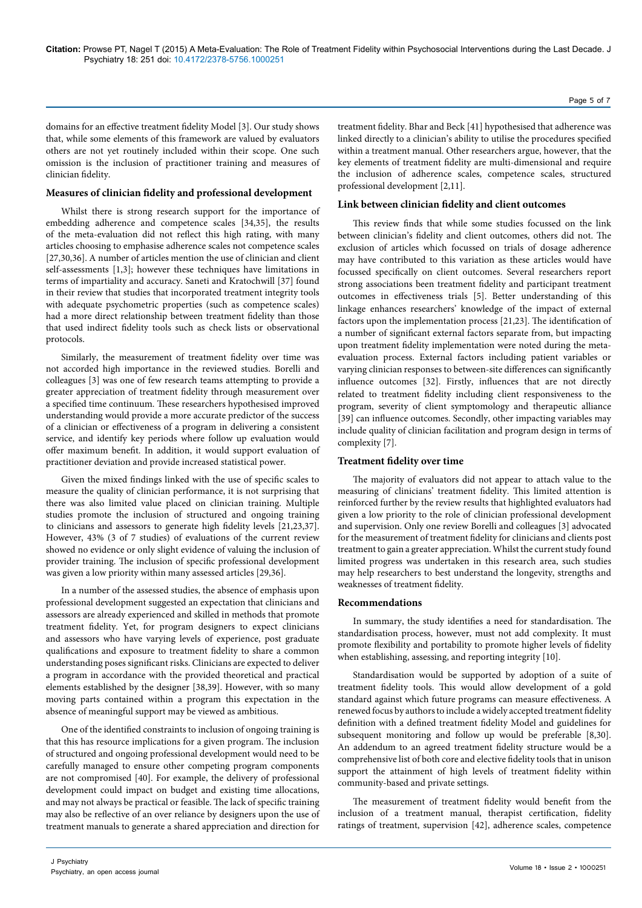domains for an effective treatment fidelity Model [3]. Our study shows that, while some elements of this framework are valued by evaluators others are not yet routinely included within their scope. One such omission is the inclusion of practitioner training and measures of clinician fidelity.

### **Measures of clinician fidelity and professional development**

Whilst there is strong research support for the importance of embedding adherence and competence scales [34,35], the results of the meta-evaluation did not reflect this high rating, with many articles choosing to emphasise adherence scales not competence scales [27,30,36]. A number of articles mention the use of clinician and client self-assessments [1,3]; however these techniques have limitations in terms of impartiality and accuracy. Saneti and Kratochwill [37] found in their review that studies that incorporated treatment integrity tools with adequate psychometric properties (such as competence scales) had a more direct relationship between treatment fidelity than those that used indirect fidelity tools such as check lists or observational protocols.

Similarly, the measurement of treatment fidelity over time was not accorded high importance in the reviewed studies. Borelli and colleagues [3] was one of few research teams attempting to provide a greater appreciation of treatment fidelity through measurement over a specified time continuum. These researchers hypothesised improved understanding would provide a more accurate predictor of the success of a clinician or effectiveness of a program in delivering a consistent service, and identify key periods where follow up evaluation would offer maximum benefit. In addition, it would support evaluation of practitioner deviation and provide increased statistical power.

Given the mixed findings linked with the use of specific scales to measure the quality of clinician performance, it is not surprising that there was also limited value placed on clinician training. Multiple studies promote the inclusion of structured and ongoing training to clinicians and assessors to generate high fidelity levels [21,23,37]. However, 43% (3 of 7 studies) of evaluations of the current review showed no evidence or only slight evidence of valuing the inclusion of provider training. The inclusion of specific professional development was given a low priority within many assessed articles [29,36].

In a number of the assessed studies, the absence of emphasis upon professional development suggested an expectation that clinicians and assessors are already experienced and skilled in methods that promote treatment fidelity. Yet, for program designers to expect clinicians and assessors who have varying levels of experience, post graduate qualifications and exposure to treatment fidelity to share a common understanding poses significant risks. Clinicians are expected to deliver a program in accordance with the provided theoretical and practical elements established by the designer [38,39]. However, with so many moving parts contained within a program this expectation in the absence of meaningful support may be viewed as ambitious.

One of the identified constraints to inclusion of ongoing training is that this has resource implications for a given program. The inclusion of structured and ongoing professional development would need to be carefully managed to ensure other competing program components are not compromised [40]. For example, the delivery of professional development could impact on budget and existing time allocations, and may not always be practical or feasible. The lack of specific training may also be reflective of an over reliance by designers upon the use of treatment manuals to generate a shared appreciation and direction for

treatment fidelity. Bhar and Beck [41] hypothesised that adherence was linked directly to a clinician's ability to utilise the procedures specified within a treatment manual. Other researchers argue, however, that the key elements of treatment fidelity are multi-dimensional and require the inclusion of adherence scales, competence scales, structured professional development [2,11].

### **Link between clinician fidelity and client outcomes**

This review finds that while some studies focussed on the link between clinician's fidelity and client outcomes, others did not. The exclusion of articles which focussed on trials of dosage adherence may have contributed to this variation as these articles would have focussed specifically on client outcomes. Several researchers report strong associations been treatment fidelity and participant treatment outcomes in effectiveness trials [5]. Better understanding of this linkage enhances researchers' knowledge of the impact of external factors upon the implementation process [21,23]. The identification of a number of significant external factors separate from, but impacting upon treatment fidelity implementation were noted during the metaevaluation process. External factors including patient variables or varying clinician responses to between-site differences can significantly influence outcomes [32]. Firstly, influences that are not directly related to treatment fidelity including client responsiveness to the program, severity of client symptomology and therapeutic alliance [39] can influence outcomes. Secondly, other impacting variables may include quality of clinician facilitation and program design in terms of complexity [7].

### **Treatment fidelity over time**

The majority of evaluators did not appear to attach value to the measuring of clinicians' treatment fidelity. This limited attention is reinforced further by the review results that highlighted evaluators had given a low priority to the role of clinician professional development and supervision. Only one review Borelli and colleagues [3] advocated for the measurement of treatment fidelity for clinicians and clients post treatment to gain a greater appreciation. Whilst the current study found limited progress was undertaken in this research area, such studies may help researchers to best understand the longevity, strengths and weaknesses of treatment fidelity.

#### **Recommendations**

In summary, the study identifies a need for standardisation. The standardisation process, however, must not add complexity. It must promote flexibility and portability to promote higher levels of fidelity when establishing, assessing, and reporting integrity [10].

Standardisation would be supported by adoption of a suite of treatment fidelity tools. This would allow development of a gold standard against which future programs can measure effectiveness. A renewed focus by authors to include a widely accepted treatment fidelity definition with a defined treatment fidelity Model and guidelines for subsequent monitoring and follow up would be preferable [8,30]. An addendum to an agreed treatment fidelity structure would be a comprehensive list of both core and elective fidelity tools that in unison support the attainment of high levels of treatment fidelity within community-based and private settings.

The measurement of treatment fidelity would benefit from the inclusion of a treatment manual, therapist certification, fidelity ratings of treatment, supervision [42], adherence scales, competence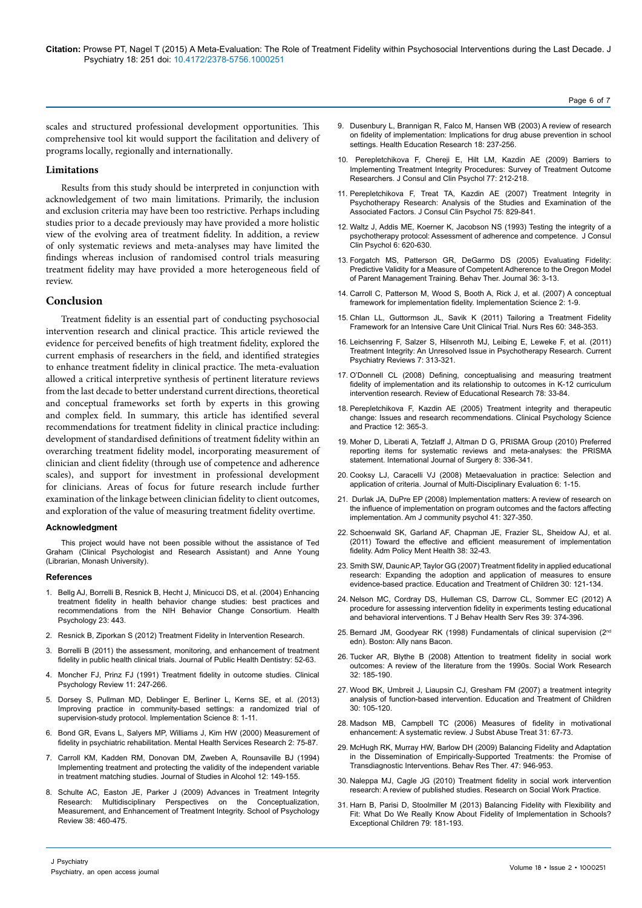scales and structured professional development opportunities. This comprehensive tool kit would support the facilitation and delivery of programs locally, regionally and internationally.

# **Limitations**

Results from this study should be interpreted in conjunction with acknowledgement of two main limitations. Primarily, the inclusion and exclusion criteria may have been too restrictive. Perhaps including studies prior to a decade previously may have provided a more holistic view of the evolving area of treatment fidelity. In addition, a review of only systematic reviews and meta-analyses may have limited the findings whereas inclusion of randomised control trials measuring treatment fidelity may have provided a more heterogeneous field of review.

# **Conclusion**

Treatment fidelity is an essential part of conducting psychosocial intervention research and clinical practice. This article reviewed the evidence for perceived benefits of high treatment fidelity, explored the current emphasis of researchers in the field, and identified strategies to enhance treatment fidelity in clinical practice. The meta-evaluation allowed a critical interpretive synthesis of pertinent literature reviews from the last decade to better understand current directions, theoretical and conceptual frameworks set forth by experts in this growing and complex field. In summary, this article has identified several recommendations for treatment fidelity in clinical practice including: development of standardised definitions of treatment fidelity within an overarching treatment fidelity model, incorporating measurement of clinician and client fidelity (through use of competence and adherence scales), and support for investment in professional development for clinicians. Areas of focus for future research include further examination of the linkage between clinician fidelity to client outcomes, and exploration of the value of measuring treatment fidelity overtime.

#### **Acknowledgment**

This project would have not been possible without the assistance of Ted Graham (Clinical Psychologist and Research Assistant) and Anne Young (Librarian, Monash University).

#### **References**

- 1. [Bellg AJ, Borrelli B, Resnick B, Hecht J, Minicucci DS, et al. \(2004\) Enhancing](http://www.ncbi.nlm.nih.gov/pubmed/15367063) [treatment fidelity in health behavior change studies: best practices and](http://www.ncbi.nlm.nih.gov/pubmed/15367063) [recommendations from the NIH Behavior Change Consortium. Health](http://www.ncbi.nlm.nih.gov/pubmed/15367063) [Psychology 23: 443.](http://www.ncbi.nlm.nih.gov/pubmed/15367063)
- 2. [Resnick B, Ziporkan S \(2012\) Treatment Fidelity in Intervention Research.](http://nursing.jhu.edu/excellence/aging/center/gsa/2012/treatment-fidelity.pdf)
- 3. [Borrelli B \(2011\) the assessment, monitoring, and enhancement of treatment](http://www.ncbi.nlm.nih.gov/pmc/articles/PMC3074245/) [fidelity in public health clinical trials. Journal of Public Health Dentistry: 52-63.](http://www.ncbi.nlm.nih.gov/pmc/articles/PMC3074245/)
- 4. [Moncher FJ, Prinz FJ \(1991\) Treatment fidelity in outcome studies. Clinical](http://www.sciencedirect.com/science/article/pii/0272735891901032) [Psychology Review 11: 247-266.](http://www.sciencedirect.com/science/article/pii/0272735891901032)
- 5. [Dorsey S, Pullman MD, Deblinger E, Berliner L, Kerns SE, et al. \(2013\)](http://www.ncbi.nlm.nih.gov/pubmed/23937766) [Improving practice in community-based settings: a randomized trial of](http://www.ncbi.nlm.nih.gov/pubmed/23937766) [supervision-study protocol. Implementation Science 8: 1-11.](http://www.ncbi.nlm.nih.gov/pubmed/23937766)
- 6. [Bond GR, Evans L, Salyers MP, Williams J, Kim HW \(2000\) Measurement of](http://www.ncbi.nlm.nih.gov/pubmed/11256719) fidel[ity in psychiatric rehabilitation. Mental Health Services Research 2: 75-87.](http://www.ncbi.nlm.nih.gov/pubmed/11256719)
- 7. [Carroll KM, Kadden RM, Donovan DM, Zweben A, Rounsaville BJ \(1994\)](http://www.ncbi.nlm.nih.gov/pubmed/7722991) [Implementing treatment and protecting the validity of the independent variable](http://www.ncbi.nlm.nih.gov/pubmed/7722991) [in treatment matching studies. Journal of Studies in Alcohol 12: 149-155.](http://www.ncbi.nlm.nih.gov/pubmed/7722991)
- 8. [Schulte AC, Easton JE, Parker J \(2009\) Advances in Treatment Integrity](http://www.nasponline.org/publications/spr/abstract.aspx?ID=1914) [Research: Multidisciplinary Perspectives on the Conceptualization,](http://www.nasponline.org/publications/spr/abstract.aspx?ID=1914) [Measurement, and Enhancement of Treatment Integrity. School of Psychology](http://www.nasponline.org/publications/spr/abstract.aspx?ID=1914) [Review 38: 460-475.](http://www.nasponline.org/publications/spr/abstract.aspx?ID=1914)
- 9. [Dusenbury L, Brannigan R, Falco M, Hansen WB \(2003\) A review of research](http://her.oxfordjournals.org/content/18/2/237.short?rss=1&ssource=mfc) [on fidelity of implementation: Implications for drug abuse prevention in school](http://her.oxfordjournals.org/content/18/2/237.short?rss=1&ssource=mfc)  [settings. Health Education Research 18: 237-256.](http://her.oxfordjournals.org/content/18/2/237.short?rss=1&ssource=mfc)
- 10. [Perepletchikova F, Chereji E, Hilt LM, Kazdin AE \(2009\) Barriers to](http://www.ncbi.nlm.nih.gov/pubmed/19309181) [Implementing Treatment Integrity Procedures: Survey of Treatment Outcome](http://www.ncbi.nlm.nih.gov/pubmed/19309181)  [Researchers. J Consul and Clin Psychol 77: 212-218.](http://www.ncbi.nlm.nih.gov/pubmed/19309181)
- 11. [Perepletchikova F, Treat TA, Kazdin AE \(2007\) Treatment Integrity in](http://www.ncbi.nlm.nih.gov/pubmed/18085901) [Psychotherapy Research: Analysis of the Studies and Examination of the](http://www.ncbi.nlm.nih.gov/pubmed/18085901) [Associated Factors. J Consul Clin Psychol 75: 829-841.](http://www.ncbi.nlm.nih.gov/pubmed/18085901)
- 12. [Waltz J, Addis ME, Koerner K, Jacobson NS \(1993\) Testing the integrity of a](http://www.ncbi.nlm.nih.gov/pubmed/8370857) [psychotherapy protocol: Assessment of adherence and competence. J Consul](http://www.ncbi.nlm.nih.gov/pubmed/8370857)  [Clin Psychol 6: 620-630.](http://www.ncbi.nlm.nih.gov/pubmed/8370857)
- 13. [Forgatch MS, Patterson GR, DeGarmo DS \(2005\) Evaluating Fidelity:](http://www.ncbi.nlm.nih.gov/pubmed/16718302) Predictive Validity for a Measure of Competent Adherence to the Oregon Model [of Parent Management Training. Behav Ther. Journal 36: 3-13.](http://www.ncbi.nlm.nih.gov/pubmed/16718302)
- 14. [Carroll C, Patterson M, Wood S, Booth A, Rick J, et al. \(2007\) A conceptual](http://www.implementationscience.com/content/2/1/40) [framework for implementation fidelity. Implementation Science 2: 1-9.](http://www.implementationscience.com/content/2/1/40)
- 15. [Chlan LL, Guttormson JL, Savik K \(2011\) Tailoring a Treatment Fidelity](http://www.ncbi.nlm.nih.gov/pubmed/21878797) [Framework for an Intensive Care Unit Clinical Trial. Nurs Res 60: 348-353.](http://www.ncbi.nlm.nih.gov/pubmed/21878797)
- 16. [Leichsenring F, Salzer S, Hilsenroth MJ, Leibing E, Leweke F, et al. \(2011\)](http://eurekaselect.com/89070) [Treatment Integrity: An Unresolved Issue in Psychotherapy Research. Current](http://eurekaselect.com/89070) [Psychiatry Reviews 7: 313-321.](http://eurekaselect.com/89070)
- 17. [O'Donnell CL \(2008\) Defining, conceptualising and measuring treatment](http://rer.sagepub.com/content/78/1/33.abstract)  [fidelity of implementation and its relationship to outcomes in K-12 curriculum](http://rer.sagepub.com/content/78/1/33.abstract)  [intervention research. Review of Educational Research 78: 33-84.](http://rer.sagepub.com/content/78/1/33.abstract)
- 18. [Perepletchikova F, Kazdin AE \(2005\) Treatment integrity and therapeutic](http://onlinelibrary.wiley.com/doi/10.1093/clipsy.bpi045/abstract) [change: Issues and research recommendations. Clinical Psychology Science](http://onlinelibrary.wiley.com/doi/10.1093/clipsy.bpi045/abstract) [and Practice 12: 365-3.](http://onlinelibrary.wiley.com/doi/10.1093/clipsy.bpi045/abstract)
- 19. [Moher D, Liberati A, Tetzlaff J, Altman D G, PRISMA Group \(2010\) Preferred](http://www.ncbi.nlm.nih.gov/pubmed/19622511) [reporting items for systematic reviews and meta-analyses: the PRISMA](http://www.ncbi.nlm.nih.gov/pubmed/19622511) [statement. International Journal of Surgery 8: 336-341.](http://www.ncbi.nlm.nih.gov/pubmed/19622511)
- 20. [Cooksy LJ, Caracelli VJ \(2008\) Metaevaluation in practice: Selection and](http://journals.sfu.ca/jmde/index.php/jmde_1/article/download/211/223) [application of criteria. Journal of Multi-Disciplinary Evaluation 6: 1-15.](http://journals.sfu.ca/jmde/index.php/jmde_1/article/download/211/223)
- 21. [Durlak JA, DuPre EP \(2008\) Implementation matters: A review of research on](http://www.ncbi.nlm.nih.gov/pubmed/18322790) [the influence of implementation on program outcomes and the factors affecting](http://www.ncbi.nlm.nih.gov/pubmed/18322790)  [implementation. Am J community psychol 41: 327-350.](http://www.ncbi.nlm.nih.gov/pubmed/18322790)
- 22. [Schoenwald SK, Garland AF, Chapman JE, Frazier SL, Sheidow AJ, et al.](http://www.ncbi.nlm.nih.gov/pubmed/20957425) [\(2011\) Toward the effective and efficient measurement of implementation](http://www.ncbi.nlm.nih.gov/pubmed/20957425)  [fidelity. Adm Policy Ment Health 38: 32-43.](http://www.ncbi.nlm.nih.gov/pubmed/20957425)
- 23. [Smith SW, Daunic AP, Taylor GG \(2007\) Treatment fidelity in applied educational](http://www.jstor.org/discover/10.2307/42899949?sid=21105394200131&uid=3738256&uid=2&uid=4)  [research: Expanding the adoption and application of measures to ensure](http://www.jstor.org/discover/10.2307/42899949?sid=21105394200131&uid=3738256&uid=2&uid=4) evidence-based practice. [Education and Treatment of Children](http://www.jstor.org/discover/10.2307/42899949?sid=21105394200131&uid=3738256&uid=2&uid=4) 30: 121-134.
- 24. [Nelson MC, Cordray DS, Hulleman CS, Darrow CL, Sommer EC \(2012\) A](http://www.ncbi.nlm.nih.gov/pubmed/22935907) [procedure for assessing intervention fidelity in experiments testing educational](http://www.ncbi.nlm.nih.gov/pubmed/22935907)  [and behavioral interventions. T J Behav Health Serv Res 39: 374-396.](http://www.ncbi.nlm.nih.gov/pubmed/22935907)
- 25. Bernard JM, Goodyear RK (1998) Fundamentals of clinical supervision (2<sup>nd</sup> edn). Boston: Ally nans Bacon.
- 26. [Tucker AR, Blythe B \(2008\) Attention to treatment fidelity in social work](https://www.questia.com/library/journal/1G1-193141164/attention-to-treatment-fidelity-in-social-work-outcomes)  [outcomes: A review of the literature from the 1990s. Social Work Research](https://www.questia.com/library/journal/1G1-193141164/attention-to-treatment-fidelity-in-social-work-outcomes) [32: 185-190.](https://www.questia.com/library/journal/1G1-193141164/attention-to-treatment-fidelity-in-social-work-outcomes)
- 27. [Wood BK, Umbreit J, Liaupsin CJ, Gresham FM \(2007\) a treatment integrity](http://www.jstor.org/discover/10.2307/42899948?sid=21105394200131&uid=2&uid=3738256&uid=4) [analysis of function-based intervention. Education and Treatment of Children](http://www.jstor.org/discover/10.2307/42899948?sid=21105394200131&uid=2&uid=3738256&uid=4) [30: 105-120.](http://www.jstor.org/discover/10.2307/42899948?sid=21105394200131&uid=2&uid=3738256&uid=4)
- 28. [Madson MB, Campbell TC \(2006\) Measures of fidelity in motivational](http://www.ncbi.nlm.nih.gov/pubmed/16814012)  [enhancement: A systematic review. J Subst Abuse Treat 31: 67-73.](http://www.ncbi.nlm.nih.gov/pubmed/16814012)
- 29. [McHugh RK, Murray HW, Barlow DH \(2009\) Balancing Fidelity and Adaptation](http://www.ncbi.nlm.nih.gov/pubmed/19643395) [in the Dissemination of Empirically-Supported Treatments: the Promise of](http://www.ncbi.nlm.nih.gov/pubmed/19643395) [Transdiagnostic Interventions. Behav Res Ther. 47: 946-953.](http://www.ncbi.nlm.nih.gov/pubmed/19643395)
- 30. [Naleppa MJ, Cagle JG \(2010\) Treatment fidelity in social work intervention](http://rsw.sagepub.com/content/20/6/674.abstract)  [research: A review of published studies. Research on Social Work Practice.](http://rsw.sagepub.com/content/20/6/674.abstract)
- 31. [Harn B, Parisi D, Stoolmiller M \(2013\) Balancing Fidelity with Flexibility and](http://ecx.sagepub.com/content/79/2/181.abstract) [Fit: What Do We Really Know About Fidelity of Implementation in Schools?](http://ecx.sagepub.com/content/79/2/181.abstract) [Exceptional Children 79: 181-193.](http://ecx.sagepub.com/content/79/2/181.abstract)